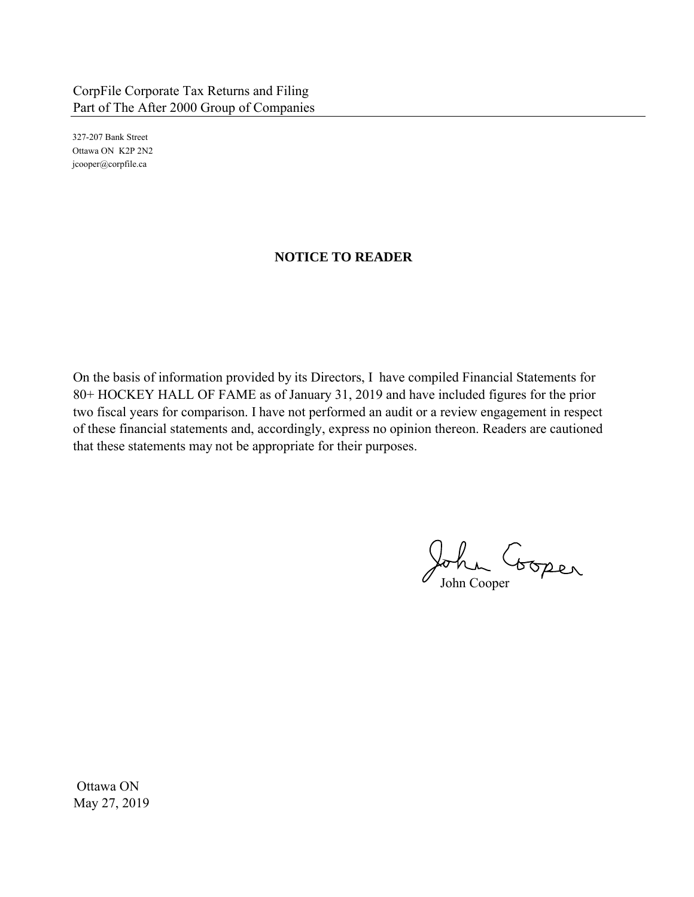327-207 Bank Street Ottawa ON K2P 2N2 jcooper@corpfile.ca

## **NOTICE TO READER**

On the basis of information provided by its Directors, I have compiled Financial Statements for 80+ HOCKEY HALL OF FAME as of January 31, 2019 and have included figures for the prior two fiscal years for comparison. I have not performed an audit or a review engagement in respect of these financial statements and, accordingly, express no opinion thereon. Readers are cautioned that these statements may not be appropriate for their purposes.

John Cooper

Ottawa ON May 27, 2019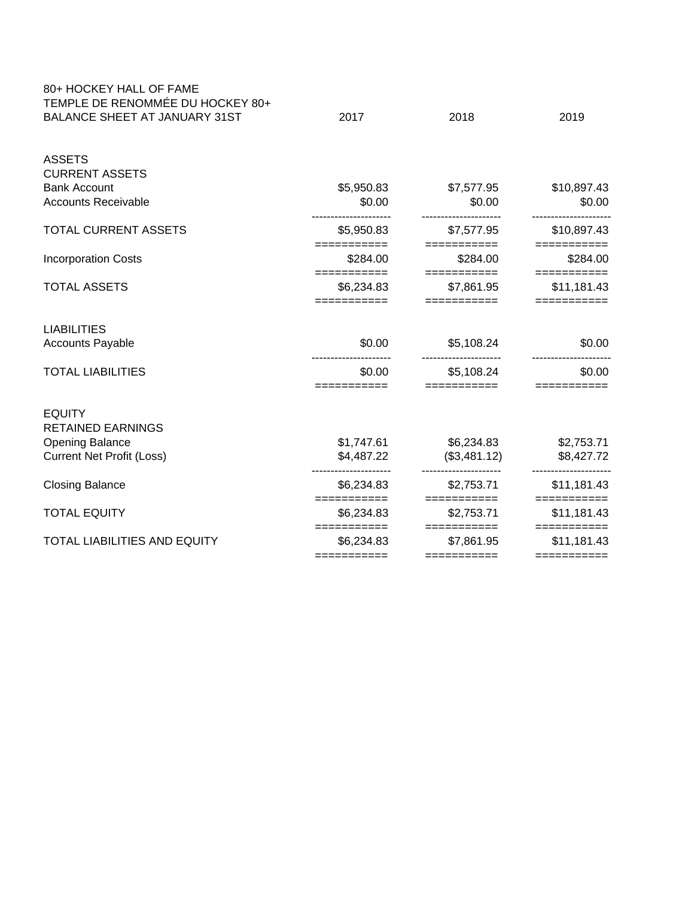| 80+ HOCKEY HALL OF FAME<br>TEMPLE DE RENOMMÉE DU HOCKEY 80+ |                                          |                                          |                                                         |
|-------------------------------------------------------------|------------------------------------------|------------------------------------------|---------------------------------------------------------|
| <b>BALANCE SHEET AT JANUARY 31ST</b>                        | 2017                                     | 2018                                     | 2019                                                    |
| <b>ASSETS</b>                                               |                                          |                                          |                                                         |
| <b>CURRENT ASSETS</b>                                       |                                          |                                          |                                                         |
| <b>Bank Account</b>                                         | \$5,950.83                               | \$7,577.95                               | \$10,897.43                                             |
| <b>Accounts Receivable</b>                                  | \$0.00                                   | \$0.00                                   | \$0.00                                                  |
| <b>TOTAL CURRENT ASSETS</b>                                 | \$5,950.83<br>===========                | \$7,577.95<br>===========                | \$10,897.43<br>$=$ ==========                           |
| <b>Incorporation Costs</b>                                  | \$284.00                                 | \$284.00                                 | \$284.00                                                |
| <b>TOTAL ASSETS</b>                                         | ===========<br>\$6,234.83<br>=========== | ===========<br>\$7,861.95<br>=========== | $=$ = = = = = = = = = = =<br>\$11,181.43<br>=========== |
| <b>LIABILITIES</b>                                          |                                          |                                          |                                                         |
| <b>Accounts Payable</b>                                     | \$0.00                                   | \$5,108.24                               | \$0.00                                                  |
| <b>TOTAL LIABILITIES</b>                                    | \$0.00<br>===========                    | \$5,108.24<br>===========                | \$0.00<br>===========                                   |
| <b>EQUITY</b>                                               |                                          |                                          |                                                         |
| <b>RETAINED EARNINGS</b>                                    |                                          |                                          |                                                         |
| <b>Opening Balance</b>                                      | \$1,747.61                               | \$6,234.83                               | \$2,753.71                                              |
| <b>Current Net Profit (Loss)</b>                            | \$4,487.22                               | (\$3,481.12)                             | \$8,427.72                                              |
| <b>Closing Balance</b>                                      | \$6,234.83                               | \$2,753.71                               | \$11,181.43                                             |
| <b>TOTAL EQUITY</b>                                         | ===========<br>\$6,234.83                | ===========<br>\$2,753.71                | $=$ ===========<br>\$11,181.43                          |
| TOTAL LIABILITIES AND EQUITY                                | ===========<br>\$6,234.83                | ===========<br>\$7,861.95                | \$11,181.43                                             |
|                                                             | ===========                              | ===========                              | ===========                                             |